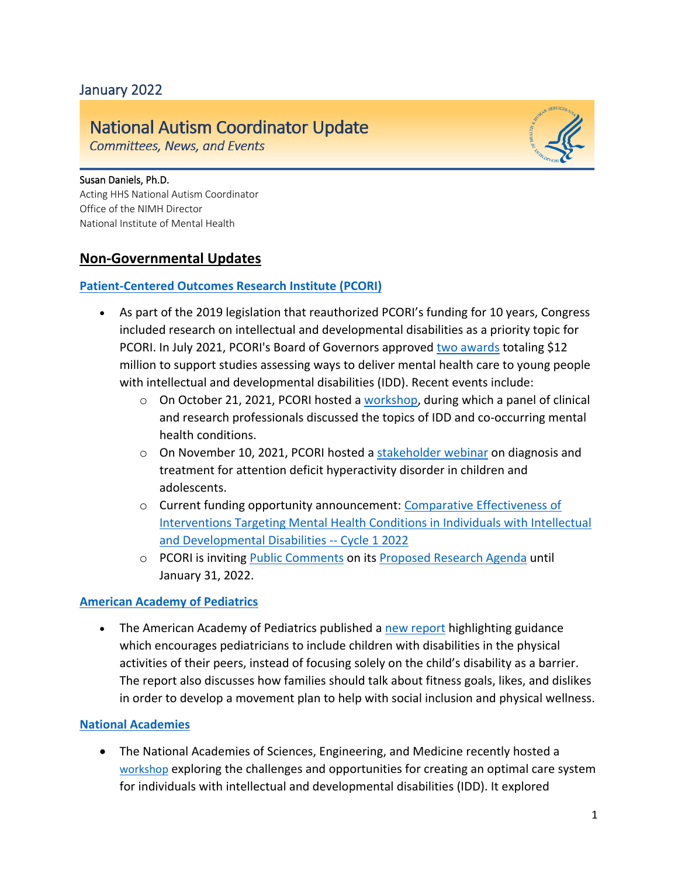# January 2022

# **National Autism Coordinator Update**

**Committees, News, and Events** 

#### Susan Daniels, Ph.D.

Acting HHS National Autism Coordinator Office of the NIMH Director National Institute of Mental Health

### **Non-Governmental Updates**

#### **[Patient-Centered Outcomes Research Institute \(PCORI\)](https://www.pcori.org/)**

- As part of the 2019 legislation that reauthorized PCORI's funding for 10 years, Congress included research on intellectual and developmental disabilities as a priority topic for PCORI. In July 2021, PCORI's Board of Governors approved [two awards](https://www.pcori.org/collection/intellectual-andor-developmental-disabilities) totaling \$12 million to support studies assessing ways to deliver mental health care to young people with intellectual and developmental disabilities (IDD). Recent events include:
	- $\circ$  On October 21, 2021, PCORI hosted a [workshop,](https://www.pcori.org/events/2021/idd-and-co-occurring-mental-health-conditions-virtual-workshop) during which a panel of clinical and research professionals discussed the topics of IDD and co-occurring mental health conditions.
	- $\circ$  On November 10, 2021, PCORI hosted [a stakeholder webinar](https://www.pcori.org/events/2021/pcori-stakeholder-webinar-adhd-children-and-adolescents) on diagnosis and treatment for attention deficit hyperactivity disorder in children and adolescents.
	- o Current funding opportunity announcement: [Comparative Effectiveness of](https://www.pcori.org/funding-opportunities/announcement/comparative-effectiveness-interventions-targeting-mental-health-individuals-intellectual-and-developmental-disabilities-cycle-1-2022)  [Interventions Targeting Mental Health Conditions in Individuals with Intellectual](https://www.pcori.org/funding-opportunities/announcement/comparative-effectiveness-interventions-targeting-mental-health-individuals-intellectual-and-developmental-disabilities-cycle-1-2022)  [and Developmental Disabilities --](https://www.pcori.org/funding-opportunities/announcement/comparative-effectiveness-interventions-targeting-mental-health-individuals-intellectual-and-developmental-disabilities-cycle-1-2022) Cycle 1 2022
	- o PCORI is inviting [Public Comments](https://www.pcori.org/video/public-comment-open-pcoris-proposed-research-agenda) on its [Proposed Research Agenda](https://www.pcori.org/about/about-pcori/pcoris-new-strategic-plan/pcoris-proposed-research-agenda) until January 31, 2022.

#### **[American Academy of Pediatrics](https://www.aap.org/en/news-room/news-releases/aap/2021/american-academy-of-pediatrics-advocates-for-helping-children-with-disabilities-become-more-physically-active/)**

• The American Academy of Pediatrics published a [new report](https://publications.aap.org/pediatrics/article/148/6/e2021054664/183444/Promoting-the-Participation-of-Children-and) highlighting guidance which encourages pediatricians to include children with disabilities in the physical activities of their peers, instead of focusing solely on the child's disability as a barrier. The report also discusses how families should talk about fitness goals, likes, and dislikes in order to develop a movement plan to help with social inclusion and physical wellness.

#### **[National Academies](https://www.nationalacademies.org/about)**

• The National Academies of Sciences, Engineering, and Medicine recently hosted a [workshop](https://www.nationalacademies.org/our-work/optimizing-care-systems-for-people-with-intellectual-and-developmental-disabilities-a-workshop#sectionWebFriendly) exploring the challenges and opportunities for creating an optimal care system for individuals with intellectual and developmental disabilities (IDD). It explored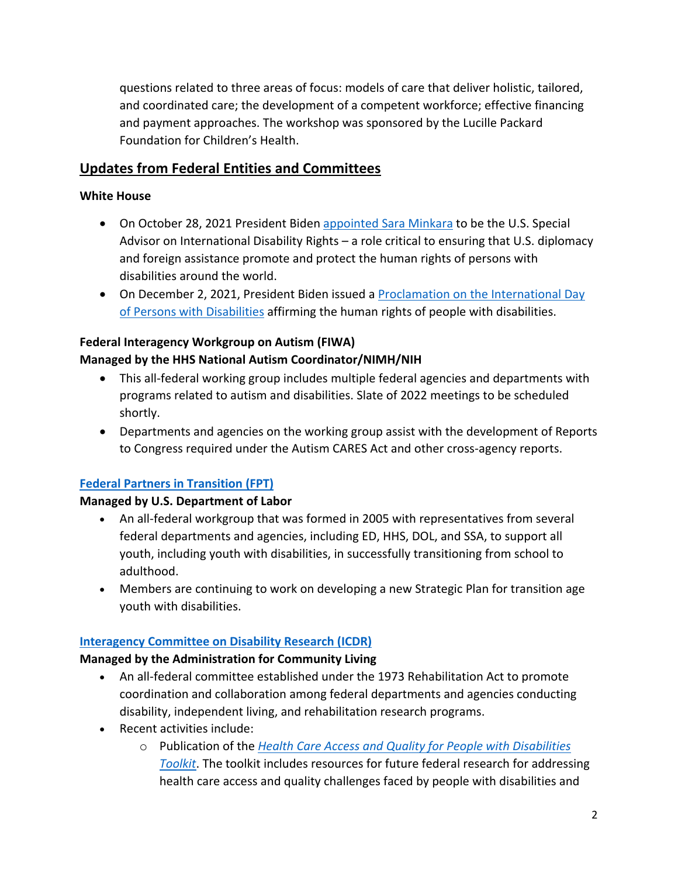questions related to three areas of focus: models of care that deliver holistic, tailored, and coordinated care; the development of a competent workforce; effective financing and payment approaches. The workshop was sponsored by the Lucille Packard Foundation for Children's Health.

# **Updates from Federal Entities and Committees**

### **White House**

- On October 28, 2021 President Biden [appointed Sara Minkara](https://www.whitehouse.gov/briefing-room/statements-releases/2021/10/28/president-biden-announces-sara-minkara-as-united-states-special-advisor-on-international-disability-rights/#:~:text=WASHINGTON%20%E2%80%93%20Today%2C%20President%20Joseph%20R,with%20disabilities%20around%20the%20world.) to be the U.S. Special Advisor on International Disability Rights – a role critical to ensuring that U.S. diplomacy and foreign assistance promote and protect the human rights of persons with disabilities around the world.
- On December 2, 2021, President Biden issued a [Proclamation on the International Day](https://www.whitehouse.gov/briefing-room/presidential-actions/2021/12/02/a-proclamation-on-international-day-of-persons-with-disabilities-2021/)  [of Persons with Disabilities](https://www.whitehouse.gov/briefing-room/presidential-actions/2021/12/02/a-proclamation-on-international-day-of-persons-with-disabilities-2021/) affirming the human rights of people with disabilities.

# **Federal Interagency Workgroup on Autism (FIWA) Managed by the HHS National Autism Coordinator/NIMH/NIH**

- This all-federal working group includes multiple federal agencies and departments with programs related to autism and disabilities. Slate of 2022 meetings to be scheduled shortly.
- Departments and agencies on the working group assist with the development of Reports to Congress required under the Autism CARES Act and other cross-agency reports.

# **[Federal Partners in Transition \(FPT\)](https://youth.gov/feature-article/federal-partners-transition)**

# **Managed by U.S. Department of Labor**

- An all-federal workgroup that was formed in 2005 with representatives from several federal departments and agencies, including ED, HHS, DOL, and SSA, to support all youth, including youth with disabilities, in successfully transitioning from school to adulthood.
- Members are continuing to work on developing a new Strategic Plan for transition age youth with disabilities.

# **[Interagency Committee on Disability Research \(ICDR\)](https://icdr.acl.gov/)**

### **Managed by the Administration for Community Living**

- An all-federal committee established under the 1973 Rehabilitation Act to promote coordination and collaboration among federal departments and agencies conducting disability, independent living, and rehabilitation research programs.
- Recent activities include:
	- o Publication of the *[Health Care Access and Quality for People with Disabilities](https://icdr.acl.gov/resources/reports/health-care-access-and-quality-people-disabilities-toolkit)  [Toolkit](https://icdr.acl.gov/resources/reports/health-care-access-and-quality-people-disabilities-toolkit)*. The toolkit includes resources for future federal research for addressing health care access and quality challenges faced by people with disabilities and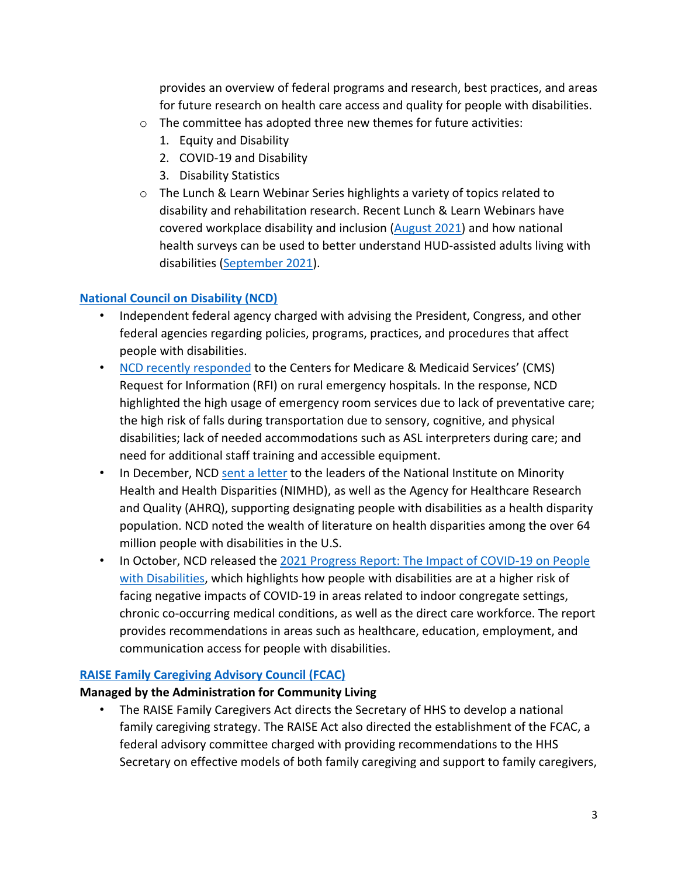provides an overview of federal programs and research, best practices, and areas for future research on health care access and quality for people with disabilities.

- o The committee has adopted three new themes for future activities:
	- 1. Equity and Disability
	- 2. COVID-19 and Disability
	- 3. Disability Statistics
- o The Lunch & Learn Webinar Series highlights a variety of topics related to disability and rehabilitation research. Recent Lunch & Learn Webinars have covered workplace disability and inclusion [\(August 2021\)](https://youtu.be/xfI1x3-jr4k) and how national health surveys can be used to better understand HUD-assisted adults living with disabilities [\(September 2021\)](https://youtu.be/fb8JdKx8Tvc).

# **[National Council on Disability \(NCD\)](https://ncd.gov/)**

- Independent federal agency charged with advising the President, Congress, and other federal agencies regarding policies, programs, practices, and procedures that affect people with disabilities.
- [NCD recently responded](https://www.ncd.gov/publications/2021/ncd-response-cms-rfi-rural-emergency-hospitals) to the Centers for Medicare & Medicaid Services' (CMS) Request for Information (RFI) on rural emergency hospitals. In the response, NCD highlighted the high usage of emergency room services due to lack of preventative care; the high risk of falls during transportation due to sensory, cognitive, and physical disabilities; lack of needed accommodations such as ASL interpreters during care; and need for additional staff training and accessible equipment.
- In December, NCD [sent a letter](https://www.ncd.gov/publications/2021/ncd-letter-nimhd-ahrq-health-disparity-population-designation) to the leaders of the National Institute on Minority Health and Health Disparities (NIMHD), as well as the Agency for Healthcare Research and Quality (AHRQ), supporting designating people with disabilities as a health disparity population. NCD noted the wealth of literature on health disparities among the over 64 million people with disabilities in the U.S.
- In October, NCD released the [2021 Progress Report: The Impact of COVID-19 on People](https://www.ncd.gov/progressreport/2021/2021-progress-report)  [with Disabilities,](https://www.ncd.gov/progressreport/2021/2021-progress-report) which highlights how people with disabilities are at a higher risk of facing negative impacts of COVID-19 in areas related to indoor congregate settings, chronic co-occurring medical conditions, as well as the direct care workforce. The report provides recommendations in areas such as healthcare, education, employment, and communication access for people with disabilities.

### **[RAISE Family Caregiving Advisory Council \(FCAC\)](https://acl.gov/programs/support-caregivers/raise-family-caregiving-advisory-council)**

# **Managed by the Administration for Community Living**

• The RAISE Family Caregivers Act directs the Secretary of HHS to develop a national family caregiving strategy. The RAISE Act also directed the establishment of the FCAC, a federal advisory committee charged with providing recommendations to the HHS Secretary on effective models of both family caregiving and support to family caregivers,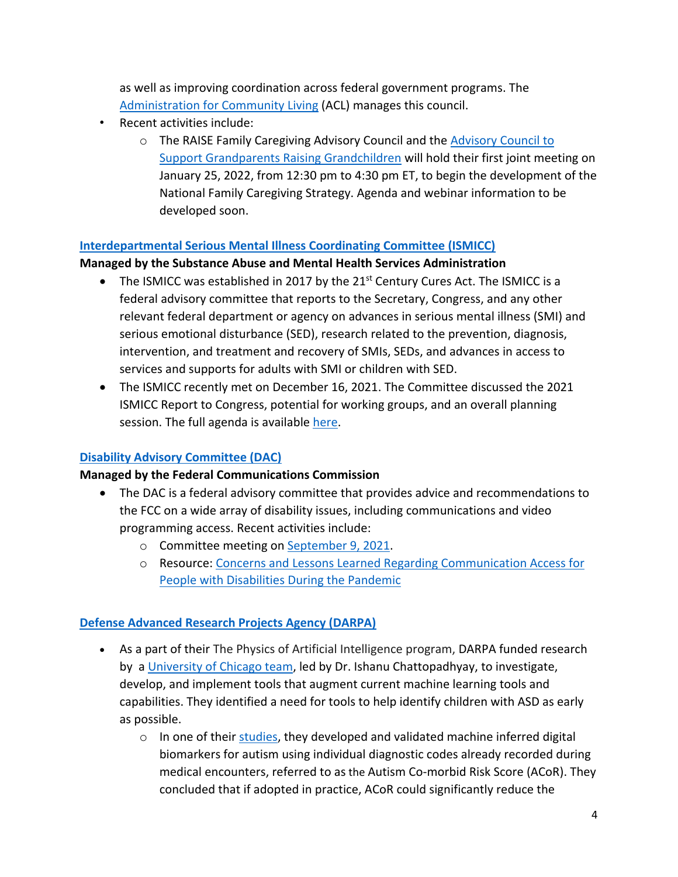as well as improving coordination across federal government programs. The [Administration for Community Living](https://acl.gov/) (ACL) manages this council.

- Recent activities include:
	- o The RAISE Family Caregiving Advisory Council and the **Advisory Council to** [Support Grandparents Raising Grandchildren](https://acl.gov/programs/support-caregivers/supporting-grandparents-raising-grandchildren-0) will hold their first joint meeting on January 25, 2022, from 12:30 pm to 4:30 pm ET, to begin the development of the National Family Caregiving Strategy. Agenda and webinar information to be developed soon.

#### **[Interdepartmental Serious Mental Illness Coordinating Committee \(ISMICC\)](https://www.samhsa.gov/ismicc)**

#### **Managed by the Substance Abuse and Mental Health Services Administration**

- The ISMICC was established in 2017 by the  $21^{st}$  Century Cures Act. The ISMICC is a federal advisory committee that reports to the Secretary, Congress, and any other relevant federal department or agency on advances in serious mental illness (SMI) and serious emotional disturbance (SED), research related to the prevention, diagnosis, intervention, and treatment and recovery of SMIs, SEDs, and advances in access to services and supports for adults with SMI or children with SED.
- The ISMICC recently met on December 16, 2021. The Committee discussed the 2021 ISMICC Report to Congress, potential for working groups, and an overall planning session. The full agenda is availabl[e here.](https://www.samhsa.gov/sites/default/files/meeting/agendas/ismicc-agenda-12162021.pdf)

#### **[Disability Advisory Committee \(DAC\)](https://www.fcc.gov/disability-advisory-committee)**

#### **Managed by the Federal Communications Commission**

- The DAC is a federal advisory committee that provides advice and recommendations to the FCC on a wide array of disability issues, including communications and video programming access. Recent activities include:
	- o Committee meeting o[n September 9, 2021.](https://www.fcc.gov/news-events/events/2021/09/disability-advisory-committee-meeting)
	- o Resource: [Concerns and Lessons Learned Regarding Communication Access for](https://www.fcc.gov/file/21920/download)  [People with Disabilities During the Pandemic](https://www.fcc.gov/file/21920/download)

### **[Defense Advanced Research Projects Agency \(DARPA\)](https://www.darpa.mil/program/physics-of-artificial-intelligence)**

- As a part of their The Physics of Artificial Intelligence program, DARPA funded research by a [University of Chicago team,](https://www.uchicagomedicine.org/forefront/research-and-discoveries-articles/new-computational-approach-uses-diagnostic-codes-and-previous-doctor-visits-to-predict-diagnosis-of-autism-spectrum-disorder-in-children) led by Dr. Ishanu Chattopadhyay, to investigate, develop, and implement tools that augment current machine learning tools and capabilities. They identified a need for tools to help identify children with ASD as early as possible.
	- $\circ$  In one of their [studies,](https://www.science.org/doi/10.1126/sciadv.abf0354) they developed and validated machine inferred digital biomarkers for autism using individual diagnostic codes already recorded during medical encounters, referred to as the Autism Co-morbid Risk Score (ACoR). They concluded that if adopted in practice, ACoR could significantly reduce the